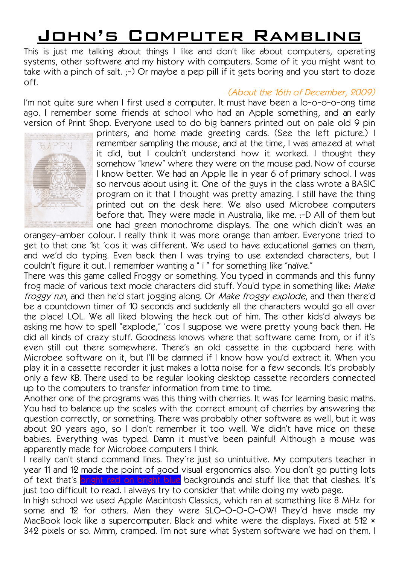# John's Computer Rambling

This is just me talking about things I like and don't like about computers, operating systems, other software and my history with computers. Some of it you might want to take with a pinch of salt.  $;$ -) Or maybe a pep pill if it gets boring and you start to doze off.

## (About the 16th of December, 2009)

I'm not quite sure when I first used a computer. It must have been a lo-o-o-o-ong time ago. I remember some friends at school who had an Apple something, and an early version of Print Shop. Everyone used to do big banners printed out on pale old 9 pin



printers, and home made greeting cards. (See the left picture.) I remember sampling the mouse, and at the time, I was amazed at what it did, but I couldn't understand how it worked. I thought they somehow "knew" where they were on the mouse pad. Now of course I know better. We had an Apple IIe in year 6 of primary school. I was so nervous about using it. One of the guys in the class wrote a BASIC program on it that I thought was pretty amazing. I still have the thing printed out on the desk here. We also used Microbee computers before that. They were made in Australia, like me. :-D All of them but one had green monochrome displays. The one which didn't was an

orangey-amber colour. I really think it was more orange than amber. Everyone tried to get to that one 1st 'cos it was different. We used to have educational games on them, and we'd do typing. Even back then I was trying to use extended characters, but I couldn't figure it out. I remember wanting a " ï " for something like "naïve."

There was this game called Froggy or something. You typed in commands and this funny frog made of various text mode characters did stuff. You'd type in something like: Make froggy run, and then he'd start jogging along. Or Make froggy explode, and then there'd be a countdown timer of 10 seconds and suddenly all the characters would go all over the place! LOL. We all liked blowing the heck out of him. The other kids'd always be asking me how to spell "explode," 'cos I suppose we were pretty young back then. He did all kinds of crazy stuff. Goodness knows where that software came from, or if it's even still out there somewhere. There's an old cassette in the cupboard here with Microbee software on it, but I'll be damned if I know how you'd extract it. When you play it in a cassette recorder it just makes a lotta noise for a few seconds. It's probably only a few KB. There used to be regular looking desktop cassette recorders connected up to the computers to transfer information from time to time.

Another one of the programs was this thing with cherries. It was for learning basic maths. You had to balance up the scales with the correct amount of cherries by answering the question correctly, or something. There was probably other software as well, but it was about 20 years ago, so I don't remember it too well. We didn't have mice on these babies. Everything was typed. Damn it must've been painful! Although a mouse was apparently made for Microbee computers I think.

I really can't stand command lines. They're just so unintuitive. My computers teacher in year 11 and 12 made the point of good visual ergonomics also. You don't go putting lots of text that's bright red on bright blue backgrounds and stuff like that that clashes. It's just too difficult to read. I always try to consider that while doing my web page.

In high school we used Apple Macintosh Classics, which ran at something like 8 MHz for some and 12 for others. Man they were SLO-O-O-O-OW! They'd have made my MacBook look like a supercomputer. Black and white were the displays. Fixed at 512  $\times$ 342 pixels or so. Mmm, cramped. I'm not sure what System software we had on them. I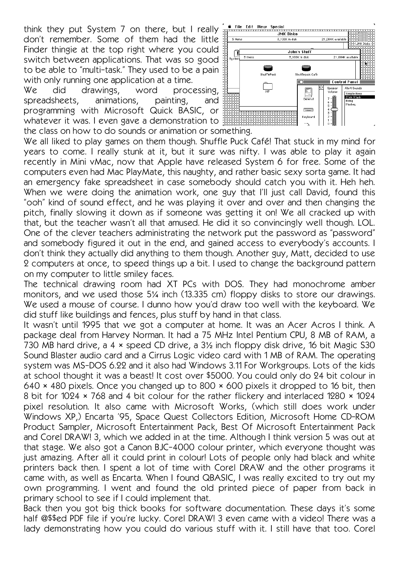think they put System 7 on there, but I really don't remember. Some of them had the little Finder thingie at the top right where you could switch between applications. That was so good to be able to "multi-task." They used to be a pain with only running one application at a time.

We did drawings, word processing, spreadsheets, animations, painting, and programming with Microsoft Quick BASIC, or whatever it was. I even gave a demonstration to the class on how to do sounds or animation or something.

We all liked to play games on them though. Shuffle Puck Café! That stuck in my mind for years to come. I really stunk at it, but it sure was nifty. I was able to play it again recently in Mini vMac, now that Apple have released System 6 for free. Some of the computers even had Mac PlayMate, this naughty, and rather basic sexy sorta game. It had an emergency fake spreadsheet in case somebody should catch you with it. Heh heh. When we were doing the animation work, one guy that I'll just call David, found this "ooh" kind of sound effect, and he was playing it over and over and then changing the pitch, finally slowing it down as if someone was getting it on! We all cracked up with that, but the teacher wasn't all that amused. He did it so convincingly well though. LOL. One of the clever teachers administrating the network put the password as "password" and somebody figured it out in the end, and gained access to everybody's accounts. I don't think they actually did anything to them though. Another guy, Matt, decided to use 2 computers at once, to speed things up a bit. I used to change the background pattern on my computer to little smiley faces.

The technical drawing room had XT PCs with DOS. They had monochrome amber monitors, and we used those 5¼ inch (13.335 cm) floppy disks to store our drawings. We used a mouse of course. I dunno how you'd draw too well with the keyboard. We did stuff like buildings and fences, plus stuff by hand in that class.

It wasn't until 1995 that we got a computer at home. It was an Acer Acros I think. A package deal from Harvey Norman. It had a 75 MHz Intel Pentium CPU, 8 MB of RAM, a 730 MB hard drive, a 4 × speed CD drive, a 3½ inch floppy disk drive, 16 bit Magic S30 Sound Blaster audio card and a Cirrus Logic video card with 1 MB of RAM. The operating system was MS-DOS 6.22 and it also had Windows 3.11 For Workgroups. Lots of the kids at school thought it was a beast! It cost over \$5000. You could only do 24 bit colour in 640 × 480 pixels. Once you changed up to 800 × 600 pixels it dropped to 16 bit, then 8 bit for 1024 × 768 and 4 bit colour for the rather flickery and interlaced 1280 × 1024 pixel resolution. It also came with Microsoft Works, (which still does work under Windows XP,) Encarta '95, Space Quest Collectors Edition, Microsoft Home CD-ROM Product Sampler, Microsoft Entertainment Pack, Best Of Microsoft Entertainment Pack and Corel DRAW! 3, which we added in at the time. Although I think version 5 was out at that stage. We also got a Canon BJC-4000 colour printer, which everyone thought was just amazing. After all it could print in colour! Lots of people only had black and white printers back then. I spent a lot of time with Corel DRAW and the other programs it came with, as well as Encarta. When I found QBASIC, I was really excited to try out my own programming. I went and found the old printed piece of paper from back in primary school to see if I could implement that.

Back then you got big thick books for software documentation. These days it's some half @\$\$ed PDF file if you're lucky. Corel DRAW! 3 even came with a video! There was a lady demonstrating how you could do various stuff with it. I still have that too. Corel

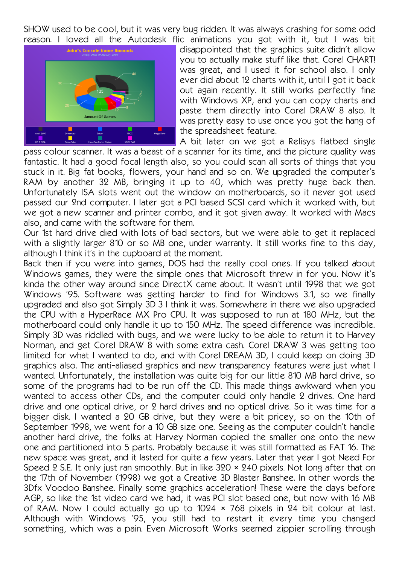SHOW used to be cool, but it was very bug ridden. It was always crashing for some odd reason. I loved all the Autodesk flic animations you got with it, but I was bit



disappointed that the graphics suite didn't allow you to actually make stuff like that. Corel CHART! was great, and I used it for school also. I only ever did about 12 charts with it, until I got it back out again recently. It still works perfectly fine with Windows XP, and you can copy charts and paste them directly into Corel DRAW 8 also. It was pretty easy to use once you got the hang of the spreadsheet feature.

A bit later on we got a Relisys flatbed single pass colour scanner. It was a beast of a scanner for its time, and the picture quality was

fantastic. It had a good focal length also, so you could scan all sorts of things that you stuck in it. Big fat books, flowers, your hand and so on. We upgraded the computer's RAM by another 32 MB, bringing it up to 40, which was pretty huge back then. Unfortunately ISA slots went out the window on motherboards, so it never got used passed our 2nd computer. I later got a PCI based SCSI card which it worked with, but we got a new scanner and printer combo, and it got given away. It worked with Macs also, and came with the software for them.

Our 1st hard drive died with lots of bad sectors, but we were able to get it replaced with a slightly larger 810 or so MB one, under warranty. It still works fine to this day, although I think it's in the cupboard at the moment.

Back then if you were into games, DOS had the really cool ones. If you talked about Windows games, they were the simple ones that Microsoft threw in for you. Now it's kinda the other way around since DirectX came about. It wasn't until 1998 that we got Windows '95. Software was getting harder to find for Windows 3.1, so we finally upgraded and also got Simply 3D 3 I think it was. Somewhere in there we also upgraded the CPU with a HyperRace MX Pro CPU. It was supposed to run at 180 MHz, but the motherboard could only handle it up to 150 MHz. The speed difference was incredible. Simply 3D was riddled with bugs, and we were lucky to be able to return it to Harvey Norman, and get Corel DRAW 8 with some extra cash. Corel DRAW 3 was getting too limited for what I wanted to do, and with Corel DREAM 3D, I could keep on doing 3D graphics also. The anti-aliased graphics and new transparency features were just what I wanted. Unfortunately, the installation was quite big for our little 810 MB hard drive, so some of the programs had to be run off the CD. This made things awkward when you wanted to access other CDs, and the computer could only handle 2 drives. One hard drive and one optical drive, or 2 hard drives and no optical drive. So it was time for a bigger disk. I wanted a 20 GB drive, but they were a bit pricey, so on the 10th of September 1998, we went for a 10 GB size one. Seeing as the computer couldn't handle another hard drive, the folks at Harvey Norman copied the smaller one onto the new one and partitioned into 5 parts. Probably because it was still formatted as FAT 16. The new space was great, and it lasted for quite a few years. Later that year I got Need For Speed 2 S.E. It only just ran smoothly. But in like 320 × 240 pixels. Not long after that on the 17th of November (1998) we got a Creative 3D Blaster Banshee. In other words the 3Dfx Voodoo Banshee. Finally some graphics acceleration! These were the days before AGP, so like the 1st video card we had, it was PCI slot based one, but now with 16 MB of RAM. Now I could actually go up to 1024 × 768 pixels in 24 bit colour at last. Although with Windows '95, you still had to restart it every time you changed something, which was a pain. Even Microsoft Works seemed zippier scrolling through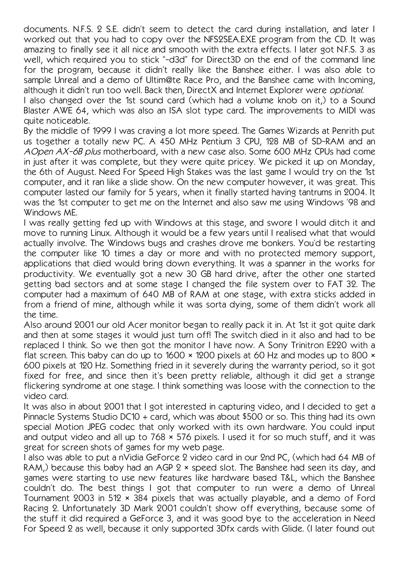documents. N.F.S. 2 S.E. didn't seem to detect the card during installation, and later I worked out that you had to copy over the NFS2SEA.EXE program from the CD. It was amazing to finally see it all nice and smooth with the extra effects. I later got N.F.S. 3 as well, which required you to stick "-d3d" for Direct3D on the end of the command line for the program, because it didn't really like the Banshee either. I was also able to sample Unreal and a demo of Ultim@te Race Pro, and the Banshee came with Incoming, although it didn't run too well. Back then, DirectX and Internet Explorer were optional.

I also changed over the 1st sound card (which had a volume knob on it,) to a Sound Blaster AWE 64, which was also an ISA slot type card. The improvements to MIDI was quite noticeable.

By the middle of 1999 I was craving a lot more speed. The Games Wizards at Penrith put us together a totally new PC. A 450 MHz Pentium 3 CPU, 128 MB of SD-RAM and an AOpen AX-6B plus motherboard, with a new case also. Some 600 MHz CPUs had come in just after it was complete, but they were quite pricey. We picked it up on Monday, the 6th of August. Need For Speed High Stakes was the last game I would try on the 1st computer, and it ran like a slide show. On the new computer however, it was great. This computer lasted our family for 5 years, when it finally started having tantrums in 2004. It was the 1st computer to get me on the Internet and also saw me using Windows '98 and Windows ME.

I was really getting fed up with Windows at this stage, and swore I would ditch it and move to running Linux. Although it would be a few years until I realised what that would actually involve. The Windows bugs and crashes drove me bonkers. You'd be restarting the computer like 10 times a day or more and with no protected memory support, applications that died would bring down everything. It was a spanner in the works for productivity. We eventually got a new 30 GB hard drive, after the other one started getting bad sectors and at some stage I changed the file system over to FAT 32. The computer had a maximum of 640 MB of RAM at one stage, with extra sticks added in from a friend of mine, although while it was sorta dying, some of them didn't work all the time.

Also around 2001 our old Acer monitor began to really pack it in. At 1st it got quite dark and then at some stages it would just turn off! The switch died in it also and had to be replaced I think. So we then got the monitor I have now. A Sony Trinitron E220 with a flat screen. This baby can do up to 1600 × 1200 pixels at 60 Hz and modes up to 800 × 600 pixels at 120 Hz. Something fried in it severely during the warranty period, so it got fixed for free, and since then it's been pretty reliable, although it did get a strange flickering syndrome at one stage. I think something was loose with the connection to the video card.

It was also in about 2001 that I got interested in capturing video, and I decided to get a Pinnacle Systems Studio DC10 + card, which was about \$500 or so. This thing had its own special Motion JPEG codec that only worked with its own hardware. You could input and output video and all up to 768 × 576 pixels. I used it for so much stuff, and it was great for screen shots of games for my web page.

I also was able to put a nVidia GeForce 2 video card in our 2nd PC, (which had 64 MB of RAM,) because this baby had an AGP  $2 \times$  speed slot. The Banshee had seen its day, and games were starting to use new features like hardware based T&L, which the Banshee couldn't do. The best things I got that computer to run were a demo of Unreal Tournament 2003 in 512 × 384 pixels that was actually playable, and a demo of Ford Racing 2. Unfortunately 3D Mark 2001 couldn't show off everything, because some of the stuff it did required a GeForce 3, and it was good bye to the acceleration in Need For Speed 2 as well, because it only supported 3Dfx cards with Glide. (I later found out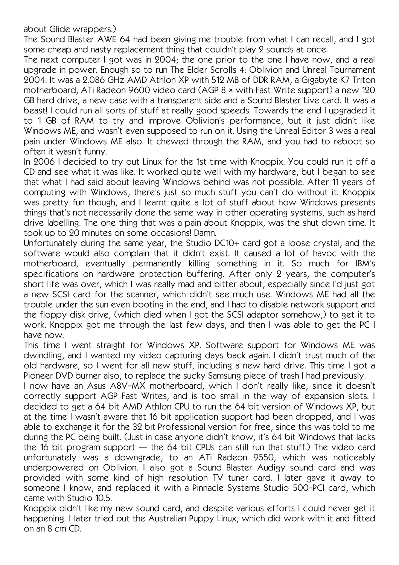## about Glide wrappers.)

The Sound Blaster AWE 64 had been giving me trouble from what I can recall, and I got some cheap and nasty replacement thing that couldn't play 2 sounds at once.

The next computer I got was in 2004; the one prior to the one I have now, and a real upgrade in power. Enough so to run The Elder Scrolls 4: Oblivion and Unreal Tournament 2004. It was a 2.086 GHz AMD Athlon XP with 512 MB of DDR RAM, a Gigabyte K7 Triton motherboard, ATi Radeon 9600 video card (AGP 8 × with Fast Write support) a new 120 GB hard drive, a new case with a transparent side and a Sound Blaster Live card. It was a beast! I could run all sorts of stuff at really good speeds. Towards the end I upgraded it to 1 GB of RAM to try and improve Oblivion's performance, but it just didn't like Windows ME, and wasn't even supposed to run on it. Using the Unreal Editor 3 was a real pain under Windows ME also. It chewed through the RAM, and you had to reboot so often it wasn't funny.

In 2006 I decided to try out Linux for the 1st time with Knoppix. You could run it off a CD and see what it was like. It worked quite well with my hardware, but I began to see that what I had said about leaving Windows behind was not possible. After 11 years of computing with Windows, there's just so much stuff you can't do without it. Knoppix was pretty fun though, and I learnt quite a lot of stuff about how Windows presents things that's not necessarily done the same way in other operating systems, such as hard drive labelling. The one thing that was a pain about Knoppix, was the shut down time. It took up to 20 minutes on some occasions! Damn.

Unfortunately during the same year, the Studio DC10+ card got a loose crystal, and the software would also complain that it didn't exist. It caused a lot of havoc with the motherboard, eventually permanently killing something in it. So much for IBM's specifications on hardware protection buffering. After only 2 years, the computer's short life was over, which I was really mad and bitter about, especially since I'd just got a new SCSI card for the scanner, which didn't see much use. Windows ME had all the trouble under the sun even booting in the end, and I had to disable network support and the floppy disk drive, (which died when I got the SCSI adaptor somehow,) to get it to work. Knoppix got me through the last few days, and then I was able to get the PC I have now.

This time I went straight for Windows XP. Software support for Windows ME was dwindling, and I wanted my video capturing days back again. I didn't trust much of the old hardware, so I went for all new stuff, including a new hard drive. This time I got a Pioneer DVD burner also, to replace the sucky Samsung piece of trash I had previously.

I now have an Asus A8V-MX motherboard, which I don't really like, since it doesn't correctly support AGP Fast Writes, and is too small in the way of expansion slots. I decided to get a 64 bit AMD Athlon CPU to run the 64 bit version of Windows XP, but at the time I wasn't aware that 16 bit application support had been dropped, and I was able to exchange it for the 32 bit Professional version for free, since this was told to me during the PC being built. (Just in case anyone didn't know, it's 64 bit Windows that lacks the 16 bit program support  $-$  the 64 bit CPUs can still run that stuff.) The video card unfortunately was a downgrade, to an ATi Radeon 9550, which was noticeably underpowered on Oblivion. I also got a Sound Blaster Audigy sound card and was provided with some kind of high resolution TV tuner card. I later gave it away to someone I know, and replaced it with a Pinnacle Systems Studio 500-PCI card, which came with Studio 10.5.

Knoppix didn't like my new sound card, and despite various efforts I could never get it happening. I later tried out the Australian Puppy Linux, which did work with it and fitted on an 8 cm CD.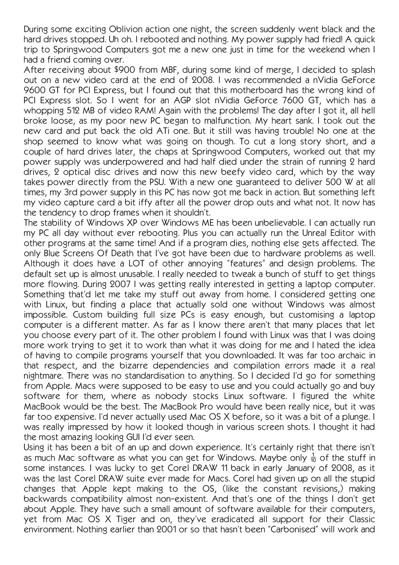During some exciting Oblivion action one night, the screen suddenly went black and the hard drives stopped. Uh oh. I rebooted and nothing. My power supply had fried! A quick trip to Springwood Computers got me a new one just in time for the weekend when I had a friend coming over.

After receiving about \$900 from MBF, during some kind of merge, I decided to splash out on a new video card at the end of 2008. I was recommended a nVidia GeForce 9600 GT for PCI Express, but I found out that this motherboard has the wrong kind of PCI Express slot. So I went for an AGP slot nVidia GeForce 7600 GT, which has a whopping 512 MB of video RAM! Again with the problems! The day after I got it, all hell broke loose, as my poor new PC began to malfunction. My heart sank. I took out the new card and put back the old ATi one. But it still was having trouble! No one at the shop seemed to know what was going on though. To cut a long story short, and a couple of hard drives later, the chaps at Springwood Computers, worked out that my power supply was underpowered and had half died under the strain of running 2 hard drives, 2 optical disc drives and now this new beefy video card, which by the way takes power directly from the PSU. With a new one guaranteed to deliver 500 W at all times, my 3rd power supply in this PC has now got me back in action. But something left my video capture card a bit iffy after all the power drop outs and what not. It now has the tendency to drop frames when it shouldn't.

The stability of Windows XP over Windows ME has been unbelievable. I can actually run my PC all day without ever rebooting. Plus you can actually run the Unreal Editor with other programs at the same time! And if a program dies, nothing else gets affected. The only Blue Screens Of Death that I've got have been due to hardware problems as well. Although it does have a LOT of other annoying "features" and design problems. The default set up is almost unusable. I really needed to tweak a bunch of stuff to get things more flowing. During 2007 I was getting really interested in getting a laptop computer. Something that'd let me take my stuff out away from home. I considered getting one with Linux, but finding a place that actually sold one without Windows was almost impossible. Custom building full size PCs is easy enough, but customising a laptop computer is a different matter. As far as I know there aren't that many places that let you choose every part of it. The other problem I found with Linux was that I was doing more work trying to get it to work than what it was doing for me and I hated the idea of having to compile programs yourself that you downloaded. It was far too archaic in that respect, and the bizarre dependencies and compilation errors made it a real nightmare. There was no standardisation to anything. So I decided I'd go for something from Apple. Macs were supposed to be easy to use and you could actually go and buy software for them, where as nobody stocks Linux software. I figured the white MacBook would be the best. The MacBook Pro would have been really nice, but it was far too expensive. I'd never actually used Mac OS X before, so it was a bit of a plunge. I was really impressed by how it looked though in various screen shots. I thought it had the most amazing looking GUI I'd ever seen.

Using it has been a bit of an up and down experience. It's certainly right that there isn't as much Mac software as what you can get for Windows. Maybe only  $\frac{1}{10}$  of the stuff in some instances. I was lucky to get Corel DRAW 11 back in early January of 2008, as it was the last Corel DRAW suite ever made for Macs. Corel had given up on all the stupid changes that Apple kept making to the OS, (like the constant revisions,) making backwards compatibility almost non-existent. And that's one of the things I don't get about Apple. They have such a small amount of software available for their computers, yet from Mac OS X Tiger and on, they've eradicated all support for their Classic environment. Nothing earlier than 2001 or so that hasn't been "Carbonised" will work and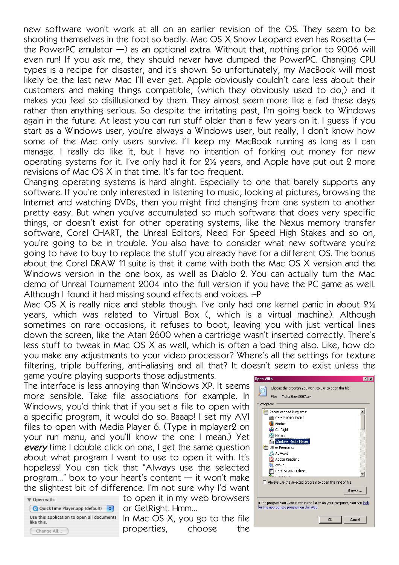new software won't work at all on an earlier revision of the OS. They seem to be shooting themselves in the foot so badly. Mac OS X Snow Leopard even has Rosetta ( the PowerPC emulator  $-$ ) as an optional extra. Without that, nothing prior to 2006 will even run! If you ask me, they should never have dumped the PowerPC. Changing CPU types is a recipe for disaster, and it's shown. So unfortunately, my MacBook will most likely be the last new Mac I'll ever get. Apple obviously couldn't care less about their customers and making things compatible, (which they obviously used to do,) and it makes you feel so disillusioned by them. They almost seem more like a fad these days rather than anything serious. So despite the irritating past, I'm going back to Windows again in the future. At least you can run stuff older than a few years on it. I guess if you start as a Windows user, you're always a Windows user, but really, I don't know how some of the Mac only users survive. I'll keep my MacBook running as long as I can manage. I really do like it, but I have no intention of forking out money for new operating systems for it. I've only had it for 2½ years, and Apple have put out 2 more revisions of Mac OS X in that time. It's far too frequent.

Changing operating systems is hard alright. Especially to one that barely supports any software. If you're only interested in listening to music, looking at pictures, browsing the Internet and watching DVDs, then you might find changing from one system to another pretty easy. But when you've accumulated so much software that does very specific things, or doesn't exist for other operating systems, like the Nexus memory transfer software, Corel CHART, the Unreal Editors, Need For Speed High Stakes and so on, you're going to be in trouble. You also have to consider what new software you're going to have to buy to replace the stuff you already have for a different OS. The bonus about the Corel DRAW 11 suite is that it came with both the Mac OS X version and the Windows version in the one box, as well as Diablo 2. You can actually turn the Mac demo of Unreal Tournament 2004 into the full version if you have the PC game as well. Although I found it had missing sound effects and voices. :-P

Mac OS X is really nice and stable though. I've only had one kernel panic in about 2½ years, which was related to Virtual Box (, which is a virtual machine). Although sometimes on rare occasions, it refuses to boot, leaving you with just vertical lines down the screen, like the Atari 2600 when a cartridge wasn't inserted correctly. There's less stuff to tweak in Mac OS X as well, which is often a bad thing also. Like, how do you make any adjustments to your video processor? Where's all the settings for texture filtering, triple buffering, anti-aliasing and all that? It doesn't seem to exist unless the game you're playing supports those adjustments.

The interface is less annoying than Windows XP. It seems more sensible. Take file associations for example. In Windows, you'd think that if you set a file to open with a specific program, it would do so. Baaap! I set my AVI files to open with Media Player 6. (Type in mplayer2 on your run menu, and you'll know the one I mean.) Yet every time I double click on one, I get the same question about what program I want to use to open it with. It's hopeless! You can tick that "Always use the selected program..." box to your heart's content  $-$  it won't make the slightest bit of difference. I'm not sure why I'd want



to open it in my web browsers or GetRight. Hmm…

In Mac OS X, you go to the file properties, choose the

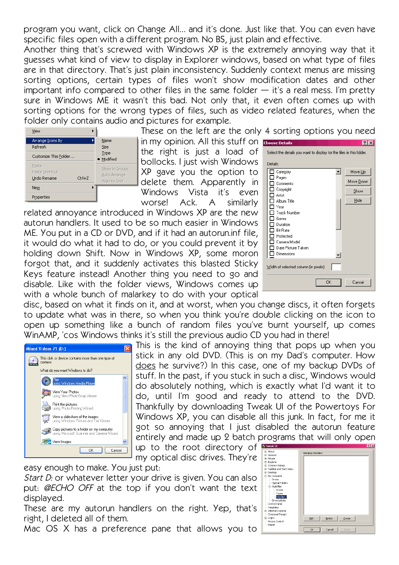program you want, click on Change All… and it's done. Just like that. You can even have specific files open with a different program. No BS, just plain and effective.

Another thing that's screwed with Windows XP is the extremely annoying way that it guesses what kind of view to display in Explorer windows, based on what type of files are in that directory. That's just plain inconsistency. Suddenly context menus are missing sorting options, certain types of files won't show modification dates and other important info compared to other files in the same folder  $-$  it's a real mess. I'm pretty sure in Windows ME it wasn't this bad. Not only that, it even often comes up with sorting options for the wrong types of files, such as video related features, when the folder only contains audio and pictures for example.

| View                                                 |                                                 |
|------------------------------------------------------|-------------------------------------------------|
| Arrange Icons By<br>Refresh                          | Name<br>Size                                    |
| Customize This Folder                                | Type<br>· Modified                              |
| Paste<br>Paste Shortcut<br>Undo Rename<br>$Ctrl + Z$ | Show in Groups<br>Auto Arrange<br>Alian to Grid |
| New                                                  |                                                 |
| Properties                                           |                                                 |

These on the left are the only 4 sorting options you need in my opinion. All this stuff on the right is just a load of bollocks. I just wish Windows XP gave you the option to delete them. Apparently in

Windows Vista it's even

worse! Ack. A similarly related annoyance introduced in Windows XP are the new autorun handlers. It used to be so much easier in Windows ME. You put in a CD or DVD, and if it had an autorun.inf file, it would do what it had to do, or you could prevent it by holding down Shift. Now in Windows XP, some moron forgot that, and it suddenly activates this blasted Sticky Keys feature instead! Another thing you need to go and disable. Like with the folder views, Windows comes up with a whole bunch of malarkey to do with your optical

| <b>Choose Details</b><br>Select the details you want to display for the files in this folder.<br>Details:<br>Category<br>Pages<br>Comments<br>Copyright<br>Artist<br>Album Title<br>Year<br><b>Track Number</b><br>Genre<br>Duration<br><b>Bit Rate</b><br>Protected<br>Camera Model | ▲         | ? x<br>Move Up<br>Move Down<br>Show<br>Hide |
|--------------------------------------------------------------------------------------------------------------------------------------------------------------------------------------------------------------------------------------------------------------------------------------|-----------|---------------------------------------------|
| Date Picture Taken<br>Dimensions                                                                                                                                                                                                                                                     |           |                                             |
| Width of selected column (in pixels):                                                                                                                                                                                                                                                | <b>OK</b> | Cancel                                      |

disc, based on what it finds on it, and at worst, when you change discs, it often forgets to update what was in there, so when you think you're double clicking on the icon to open up something like a bunch of random files you've burnt yourself, up comes WinAMP, 'cos Windows thinks it's still the previous audio CD you had in there!



This is the kind of annoying thing that pops up when you stick in any old DVD. (This is on my Dad's computer. How does he survive?) In this case, one of my backup DVDs of stuff. In the past, if you stuck in such a disc, Windows would do absolutely nothing, which is exactly what I'd want it to do, until I'm good and ready to attend to the DVD. Thankfully by downloading Tweak UI of the Powertoys For Windows XP, you can disable all this junk. In fact, for me it got so annoying that I just disabled the autorun feature entirely and made up 2 batch programs that will only open

up to the root directory of my optical disc drives. They're

easy enough to make. You just put:

Start D: or whatever letter your drive is given. You can also put: @ECHO OFF at the top if you don't want the text displayed.

These are my autorun handlers on the right. Yep, that's right, I deleted all of them.

Mac OS X has a preference pane that allows you to

| <b>SIMCON OT</b>                                                                                                                                                                                                                                                                                                                                                              | --                                            |
|-------------------------------------------------------------------------------------------------------------------------------------------------------------------------------------------------------------------------------------------------------------------------------------------------------------------------------------------------------------------------------|-----------------------------------------------|
| E-About<br>E General<br>Fi-Mouse<br>E-Explorer<br><b>E</b> Common Dialogs<br>Fi-Taskbar and Start menu<br><b>E</b> Desktop<br>- My Computer<br>Drives<br>Special Folders<br>白- AutoPlay<br>- Drives<br>-- Types<br>Handlers<br>Drive Letters<br>ι.,<br>-- Control Panel<br>- Templates<br>E Internet Explorer<br>- Command Prompt<br>E-Logon<br>-- Access Control<br>- Repair | Autoplay Handlers<br>Delete<br>Create<br>Edit |
|                                                                                                                                                                                                                                                                                                                                                                               | Cancel<br><b>OK</b><br>Apply                  |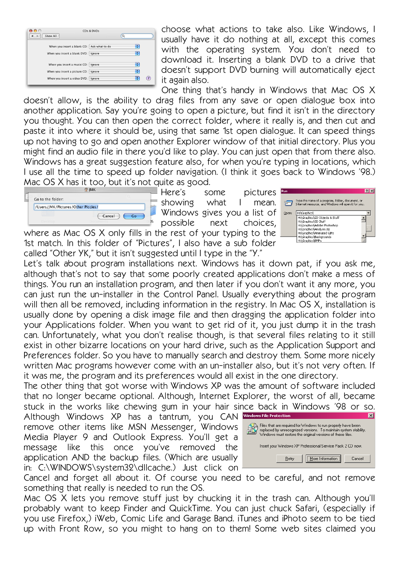| CDs & DVDs                            |          |                                            |
|---------------------------------------|----------|--------------------------------------------|
| Show All                              | $\alpha$ |                                            |
|                                       | ÷        |                                            |
| When you insert a blank DVD: Ignore   | ÷        |                                            |
| When you insert a music CD: Ignore    | ÷        |                                            |
| When you insert a picture CD: Ignore  | ÷        |                                            |
| When you insert a video DVD:   Ignore | ÷        |                                            |
|                                       |          | When you insert a blank CD: Ask what to do |

choose what actions to take also. Like Windows, I usually have it do nothing at all, except this comes with the operating system. You don't need to download it. Inserting a blank DVD to a drive that doesn't support DVD burning will automatically eject it again also.

One thing that's handy in Windows that Mac OS X

doesn't allow, is the ability to drag files from any save or open dialogue box into another application. Say you're going to open a picture, but find it isn't in the directory you thought. You can then open the correct folder, where it really is, and then cut and paste it into where it should be, using that same 1st open dialogue. It can speed things up not having to go and open another Explorer window of that initial directory. Plus you might find an audio file in there you'd like to play. You can just open that from there also. Windows has a great suggestion feature also, for when you're typing in locations, which I use all the time to speed up folder navigation. (I think it goes back to Windows '98.) Mac OS X has it too, but it's not quite as good.

| Go to the folder:                  |        |    |
|------------------------------------|--------|----|
| /Users/JMK/Pictures/Other Piccies/ |        |    |
|                                    | Cancel | Go |
|                                    |        |    |

Here's some pictures showing what I mean. Windows gives you a list of possible next choices,

where as Mac OS X only fills in the rest of your typing to the 1st match. In this folder of "Pictures", I also have a sub folder called "Other YK," but it isn't suggested until I type in the "Y."



Let's talk about program installations next. Windows has it down pat, if you ask me, although that's not to say that some poorly created applications don't make a mess of things. You run an installation program, and then later if you don't want it any more, you can just run the un-installer in the Control Panel. Usually everything about the program will then all be removed, including information in the registry. In Mac OS X, installation is usually done by opening a disk image file and then dragging the application folder into your Applications folder. When you want to get rid of it, you just dump it in the trash can. Unfortunately, what you don't realise though, is that several files relating to it still exist in other bizarre locations on your hard drive, such as the Application Support and Preferences folder. So you have to manually search and destroy them. Some more nicely written Mac programs however come with an un-installer also, but it's not very often. If it was me, the program and its preferences would all exist in the one directory.

The other thing that got worse with Windows XP was the amount of software included that no longer became optional. Although, Internet Explorer, the worst of all, became stuck in the works like chewing gum in your hair since back in Windows '98 or so.

Although Windows XP has a tantrum, you CAN Windows File Protection remove other items like MSN Messenger, Windows Media Player 9 and Outlook Express. You'll get a message like this once you've removed the application AND the backup files. (Which are usually in: C:\WINDOWS\system32\dllcache.) Just click on



Cancel and forget all about it. Of course you need to be careful, and not remove something that really is needed to run the OS.

Mac OS X lets you remove stuff just by chucking it in the trash can. Although you'll probably want to keep Finder and QuickTime. You can just chuck Safari, (especially if you use Firefox,) iWeb, Comic Life and Garage Band. iTunes and iPhoto seem to be tied up with Front Row, so you might to hang on to them! Some web sites claimed you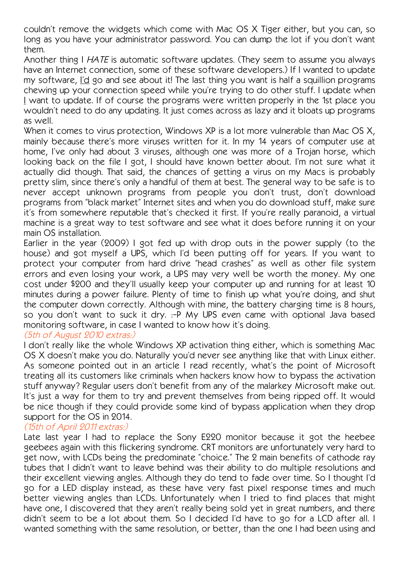couldn't remove the widgets which come with Mac OS X Tiger either, but you can, so long as you have your administrator password. You can dump the lot if you don't want them.

Another thing I HATE is automatic software updates. (They seem to assume you always have an Internet connection, some of these software developers.) If I wanted to update my software, I'd go and see about it! The last thing you want is half a squillion programs chewing up your connection speed while you're trying to do other stuff. I update when I want to update. If of course the programs were written properly in the 1st place you wouldn't need to do any updating. It just comes across as lazy and it bloats up programs as well.

When it comes to virus protection, Windows XP is a lot more vulnerable than Mac OS X, mainly because there's more viruses written for it. In my 14 years of computer use at home, I've only had about 3 viruses, although one was more of a Trojan horse, which looking back on the file I got, I should have known better about. I'm not sure what it actually did though. That said, the chances of getting a virus on my Macs is probably pretty slim, since there's only a handful of them at best. The general way to be safe is to never accept unknown programs from people you don't trust, don't download programs from "black market" Internet sites and when you do download stuff, make sure it's from somewhere reputable that's checked it first. If you're really paranoid, a virtual machine is a great way to test software and see what it does before running it on your main OS installation.

Earlier in the year (2009) I got fed up with drop outs in the power supply (to the house) and got myself a UPS, which I'd been putting off for years. If you want to protect your computer from hard drive "head crashes" as well as other file system errors and even losing your work, a UPS may very well be worth the money. My one cost under \$200 and they'll usually keep your computer up and running for at least 10 minutes during a power failure. Plenty of time to finish up what you're doing, and shut the computer down correctly. Although with mine, the battery charging time is 8 hours, so you don't want to suck it dry. :-P My UPS even came with optional Java based monitoring software, in case I wanted to know how it's doing.

# (5th of August 2010 extras:)

I don't really like the whole Windows XP activation thing either, which is something Mac OS X doesn't make you do. Naturally you'd never see anything like that with Linux either. As someone pointed out in an article I read recently, what's the point of Microsoft treating all its customers like criminals when hackers know how to bypass the activation stuff anyway? Regular users don't benefit from any of the malarkey Microsoft make out. It's just a way for them to try and prevent themselves from being ripped off. It would be nice though if they could provide some kind of bypass application when they drop support for the OS in 2014.

## (15th of April 2011 extras:)

Late last year I had to replace the Sony E220 monitor because it got the heebee geebees again with this flickering syndrome. CRT monitors are unfortunately very hard to get now, with LCDs being the predominate "choice." The 2 main benefits of cathode ray tubes that I didn't want to leave behind was their ability to do multiple resolutions and their excellent viewing angles. Although they do tend to fade over time. So I thought I'd go for a LED display instead, as these have very fast pixel response times and much better viewing angles than LCDs. Unfortunately when I tried to find places that might have one, I discovered that they aren't really being sold yet in great numbers, and there didn't seem to be a lot about them. So I decided I'd have to go for a LCD after all. I wanted something with the same resolution, or better, than the one I had been using and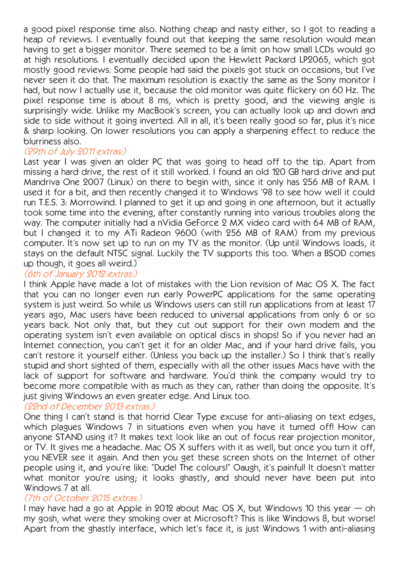a good pixel response time also. Nothing cheap and nasty either, so I got to reading a heap of reviews. I eventually found out that keeping the same resolution would mean having to get a bigger monitor. There seemed to be a limit on how small LCDs would go at high resolutions. I eventually decided upon the Hewlett Packard LP2065, which got mostly good reviews. Some people had said the pixels got stuck on occasions, but I've never seen it do that. The maximum resolution is exactly the same as the Sony monitor I had, but now I actually use it, because the old monitor was quite flickery on 60 Hz. The pixel response time is about 8 ms, which is pretty good, and the viewing angle is surprisingly wide. Unlike my MacBook's screen, you can actually look up and down and side to side without it going inverted. All in all, it's been really good so far, plus it's nice & sharp looking. On lower resolutions you can apply a sharpening effect to reduce the blurriness also.

## (29th of July 2011 extras:)

Last year I was given an older PC that was going to head off to the tip. Apart from missing a hard drive, the rest of it still worked. I found an old 120 GB hard drive and put Mandriva One 2007 (Linux) on there to begin with, since it only has 256 MB of RAM. I used it for a bit, and then recently changed it to Windows '98 to see how well it could run T.E.S. 3: Morrowind. I planned to get it up and going in one afternoon, but it actually took some time into the evening, after constantly running into various troubles along the way. The computer initially had a nVidia GeForce 2 MX video card with 64 MB of RAM, but I changed it to my ATi Radeon 9600 (with 256 MB of RAM) from my previous computer. It's now set up to run on my TV as the monitor. (Up until Windows loads, it stays on the default NTSC signal. Luckily the TV supports this too. When a BSOD comes up though, it goes all weird.)

## (6th of January 2012 extras:)

I think Apple have made a lot of mistakes with the Lion revision of Mac OS X. The fact that you can no longer even run early PowerPC applications for the same operating system is just weird. So while us Windows users can still run applications from at least 17 years ago, Mac users have been reduced to universal applications from only 6 or so years back. Not only that, but they cut out support for their own modem and the operating system isn't even available on optical discs in shops! So if you never had an Internet connection, you can't get it for an older Mac, and if your hard drive fails, you can't restore it yourself either. (Unless you back up the installer.) So I think that's really stupid and short sighted of them, especially with all the other issues Macs have with the lack of support for software and hardware. You'd think the company would try to become more compatible with as much as they can, rather than doing the opposite. It's just giving Windows an even greater edge. And Linux too.

# (22nd of December 2013 extras:)

One thing I can't stand is that horrid Clear Type excuse for anti-aliasing on text edges, which plagues Windows 7 in situations even when you have it turned off! How can anyone STAND using it? It makes text look like an out of focus rear projection monitor, or TV. It gives me a headache. Mac OS X suffers with it as well, but once you turn it off, you NEVER see it again. And then you get these screen shots on the Internet of other people using it, and you're like: "Dude! The colours!" Oaugh, it's painful! It doesn't matter what monitor you're using; it looks ghastly, and should never have been put into Windows 7 at all.

## (7th of October 2015 extras:)

I may have had a go at Apple in 2012 about Mac OS X, but Windows 10 this year — oh my gosh, what were they smoking over at Microsoft? This is like Windows 8, but worse! Apart from the ghastly interface, which let's face it, is just Windows 1 with anti-aliasing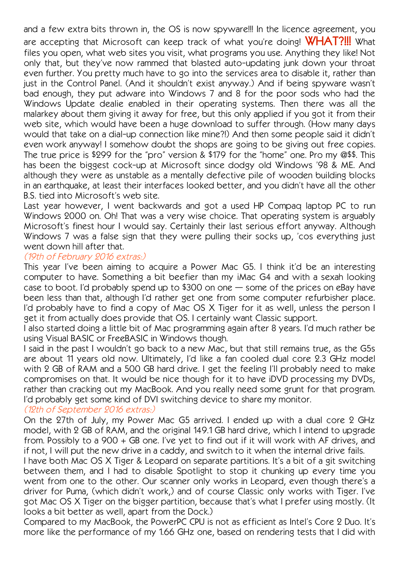and a few extra bits thrown in, the OS is now spyware!!! In the licence agreement, you are accepting that Microsoft can keep track of what you're doing! **WHAT?!!!** What files you open, what web sites you visit, what programs you use. Anything they like! Not only that, but they've now rammed that blasted auto-updating junk down your throat even further. You pretty much have to go into the services area to disable it, rather than just in the Control Panel. (And it shouldn't exist anyway.) And if being spyware wasn't bad enough, they put adware into Windows 7 and 8 for the poor sods who had the Windows Update dealie enabled in their operating systems. Then there was all the malarkey about them giving it away for free, but this only applied if you got it from their web site, which would have been a huge download to suffer through. (How many days would that take on a dial-up connection like mine?!) And then some people said it didn't even work anyway! I somehow doubt the shops are going to be giving out free copies. The true price is \$299 for the "pro" version & \$179 for the "home" one. Pro my @\$\$. This has been the biggest cock-up at Microsoft since dodgy old Windows '98 & ME. And although they were as unstable as a mentally defective pile of wooden building blocks in an earthquake, at least their interfaces looked better, and you didn't have all the other B.S. tied into Microsoft's web site.

Last year however, I went backwards and got a used HP Compaq laptop PC to run Windows 2000 on. Oh! That was a very wise choice. That operating system is arguably Microsoft's finest hour I would say. Certainly their last serious effort anyway. Although Windows 7 was a false sign that they were pulling their socks up, 'cos everything just went down hill after that.

#### (19th of February 2016 extras:)

This year I've been aiming to acquire a Power Mac G5. I think it'd be an interesting computer to have. Something a bit beefier than my iMac G4 and with a sexah looking case to boot. I'd probably spend up to \$300 on one — some of the prices on eBay have been less than that, although I'd rather get one from some computer refurbisher place. I'd probably have to find a copy of Mac OS X Tiger for it as well, unless the person I get it from actually does provide that OS. I certainly want Classic support.

I also started doing a little bit of Mac programming again after 8 years. I'd much rather be using Visual BASIC or FreeBASIC in Windows though.

I said in the past I wouldn't go back to a new Mac, but that still remains true, as the G5s are about 11 years old now. Ultimately, I'd like a fan cooled dual core 2.3 GHz model with 2 GB of RAM and a 500 GB hard drive. I get the feeling I'll probably need to make compromises on that. It would be nice though for it to have iDVD processing my DVDs, rather than cracking out my MacBook. And you really need some grunt for that program. I'd probably get some kind of DVI switching device to share my monitor.

#### (12th of September 2016 extras:)

On the 27th of July, my Power Mac G5 arrived. I ended up with a dual core 2 GHz model, with 2 GB of RAM, and the original 149.1 GB hard drive, which I intend to upgrade from. Possibly to a 900 + GB one. I've yet to find out if it will work with AF drives, and if not, I will put the new drive in a caddy, and switch to it when the internal drive fails.

I have both Mac OS X Tiger & Leopard on separate partitions. It's a bit of a git switching between them, and I had to disable Spotlight to stop it chunking up every time you went from one to the other. Our scanner only works in Leopard, even though there's a driver for Puma, (which didn't work,) and of course Classic only works with Tiger. I've got Mac OS X Tiger on the bigger partition, because that's what I prefer using mostly. (It looks a bit better as well, apart from the Dock.)

Compared to my MacBook, the PowerPC CPU is not as efficient as Intel's Core 2 Duo. It's more like the performance of my 1.66 GHz one, based on rendering tests that I did with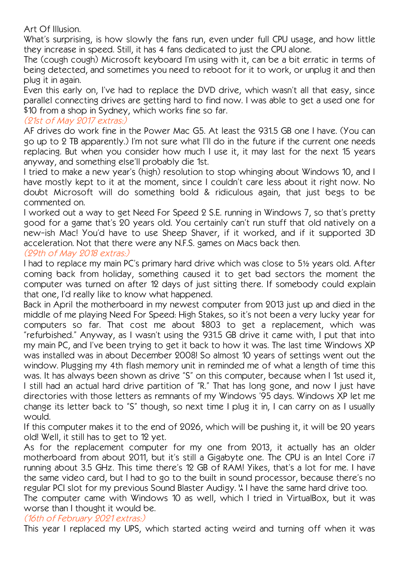Art Of Illusion.

What's surprising, is how slowly the fans run, even under full CPU usage, and how little they increase in speed. Still, it has 4 fans dedicated to just the CPU alone.

The (cough cough) Microsoft keyboard I'm using with it, can be a bit erratic in terms of being detected, and sometimes you need to reboot for it to work, or unplug it and then plug it in again.

Even this early on, I've had to replace the DVD drive, which wasn't all that easy, since parallel connecting drives are getting hard to find now. I was able to get a used one for \$10 from a shop in Sydney, which works fine so far.

# (21st of May 2017 extras:)

AF drives do work fine in the Power Mac G5. At least the 931.5 GB one I have. (You can go up to 2 TB apparently.) I'm not sure what I'll do in the future if the current one needs replacing. But when you consider how much I use it, it may last for the next 15 years anyway, and something else'll probably die 1st.

I tried to make a new year's (high) resolution to stop whinging about Windows 10, and I have mostly kept to it at the moment, since I couldn't care less about it right now. No doubt Microsoft will do something bold & ridiculous again, that just begs to be commented on.

I worked out a way to get Need For Speed 2 S.E. running in Windows 7, so that's pretty good for a game that's 20 years old. You certainly can't run stuff that old natively on a new-ish Mac! You'd have to use Sheep Shaver, if it worked, and if it supported 3D acceleration. Not that there were any N.F.S. games on Macs back then.

# (29th of May 2018 extras:)

I had to replace my main PC's primary hard drive which was close to 5½ years old. After coming back from holiday, something caused it to get bad sectors the moment the computer was turned on after 12 days of just sitting there. If somebody could explain that one, I'd really like to know what happened.

Back in April the motherboard in my newest computer from 2013 just up and died in the middle of me playing Need For Speed: High Stakes, so it's not been a very lucky year for computers so far. That cost me about \$803 to get a replacement, which was "refurbished." Anyway, as I wasn't using the 931.5 GB drive it came with, I put that into my main PC, and I've been trying to get it back to how it was. The last time Windows XP was installed was in about December 2008! So almost 10 years of settings went out the window. Plugging my 4th flash memory unit in reminded me of what a length of time this was. It has always been shown as drive "S" on this computer, because when I 1st used it, I still had an actual hard drive partition of "R." That has long gone, and now I just have directories with those letters as remnants of my Windows '95 days. Windows XP let me change its letter back to "S" though, so next time I plug it in, I can carry on as I usually would.

If this computer makes it to the end of 2026, which will be pushing it, it will be 20 years old! Well, it still has to get to 12 yet.

As for the replacement computer for my one from 2013, it actually has an older motherboard from about 2011, but it's still a Gigabyte one. The CPU is an Intel Core i7 running about 3.5 GHz. This time there's 12 GB of RAM! Yikes, that's a lot for me. I have the same video card, but I had to go to the built in sound processor, because there's no regular PCI slot for my previous Sound Blaster Audigy. "I have the same hard drive too.

The computer came with Windows 10 as well, which I tried in VirtualBox, but it was worse than I thought it would be.

## (16th of February 2021 extras:)

This year I replaced my UPS, which started acting weird and turning off when it was